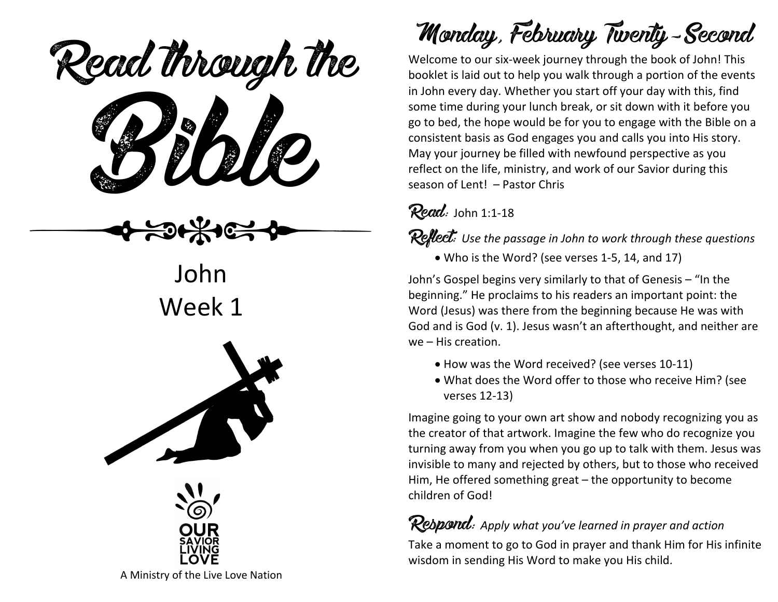ead mough is Read through the



John Week 1





Monday, February Twenty-Second

Welcome to our six-week journey through the book of John! This booklet is laid out to help you walk through a portion of the events in John every day. Whether you start off your day with this, find some time during your lunch break, or sit down with it before you go to bed, the hope would be for you to engage with the Bible on a consistent basis as God engages you and calls you into His story. May your journey be filled with newfound perspective as you reflect on the life, ministry, and work of our Savior during this season of Lent! – Pastor Chris

#### Read: John 1:1-18

Reflect: *Use the passage in John to work through these questions*

• Who is the Word? (see verses 1-5, 14, and 17)

John's Gospel begins very similarly to that of Genesis – "In the beginning." He proclaims to his readers an important point: the Word (Jesus) was there from the beginning because He was with God and is God (v. 1). Jesus wasn't an afterthought, and neither are we – His creation.

- How was the Word received? (see verses 10-11)
- What does the Word offer to those who receive Him? (see verses 12-13)

Imagine going to your own art show and nobody recognizing you as the creator of that artwork. Imagine the few who do recognize you turning away from you when you go up to talk with them. Jesus was invisible to many and rejected by others, but to those who received Him, He offered something great – the opportunity to become children of God!

**Respond:** Apply what you've learned in prayer and action

Take a moment to go to God in prayer and thank Him for His infinite wisdom in sending His Word to make you His child.

A Ministry of the Live Love Nation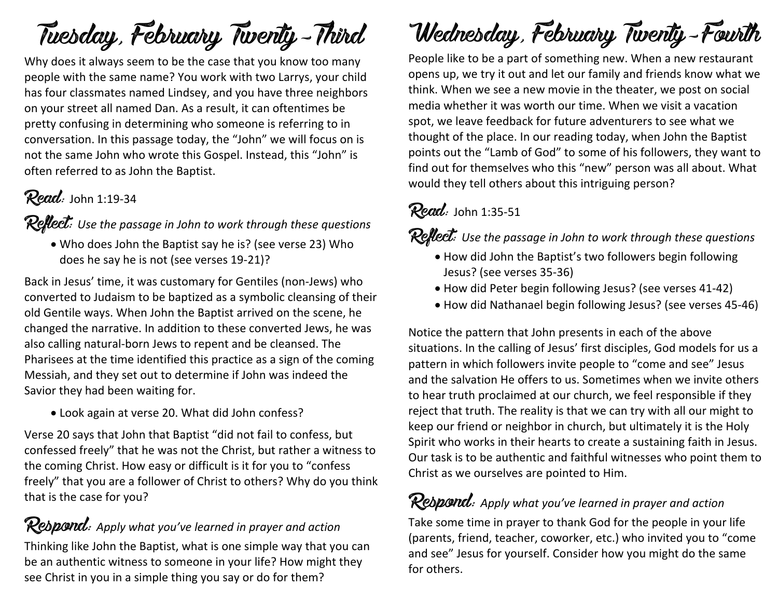# Tuesday, February Twenty-Third

Why does it always seem to be the case that you know too many people with the same name? You work with two Larrys, your child has four classmates named Lindsey, and you have three neighbors on your street all named Dan. As a result, it can oftentimes be pretty confusing in determining who someone is referring to in conversation. In this passage today, the "John" we will focus on is not the same John who wrote this Gospel. Instead, this "John" is often referred to as John the Baptist.

### $Read:$  John 1:19-34

Reflect: Use the passage in John to work through these questions

• Who does John the Baptist say he is? (see verse 23) Who does he say he is not (see verses 19-21)?

Back in Jesus' time, it was customary for Gentiles (non-Jews) who converted to Judaism to be baptized as a symbolic cleansing of their old Gentile ways. When John the Baptist arrived on the scene, he changed the narrative. In addition to these converted Jews, he was also calling natural-born Jews to repent and be cleansed. The Pharisees at the time identified this practice as a sign of the coming Messiah, and they set out to determine if John was indeed the Savior they had been waiting for.

• Look again at verse 20. What did John confess?

Verse 20 says that John that Baptist "did not fail to confess, but confessed freely" that he was not the Christ, but rather a witness to the coming Christ. How easy or difficult is it for you to "confess freely" that you are a follower of Christ to others? Why do you think that is the case for you?

#### Respond: Apply what you've learned in prayer and action

Thinking like John the Baptist, what is one simple way that you can be an authentic witness to someone in your life? How might they see Christ in you in a simple thing you say or do for them?

## Wednesday, February Twenty-Fourth

People like to be a part of something new. When a new restaurant opens up, we try it out and let our family and friends know what we think. When we see a new movie in the theater, we post on social media whether it was worth our time. When we visit a vacation spot, we leave feedback for future adventurers to see what we thought of the place. In our reading today, when John the Baptist points out the "Lamb of God" to some of his followers, they want to find out for themselves who this "new" person was all about. What would they tell others about this intriguing person?

### $Read:$  John 1:35-51

Reflect: Use the passage in John to work through these questions

- How did John the Baptist's two followers begin following Jesus? (see verses 35-36)
- How did Peter begin following Jesus? (see verses 41-42)
- How did Nathanael begin following Jesus? (see verses 45-46)

Notice the pattern that John presents in each of the above situations. In the calling of Jesus' first disciples, God models for us a pattern in which followers invite people to "come and see" Jesus and the salvation He offers to us. Sometimes when we invite others to hear truth proclaimed at our church, we feel responsible if they reject that truth. The reality is that we can try with all our might to keep our friend or neighbor in church, but ultimately it is the Holy Spirit who works in their hearts to create a sustaining faith in Jesus. Our task is to be authentic and faithful witnesses who point them to Christ as we ourselves are pointed to Him.

#### Respond: *Apply what you've learned in prayer and action*

Take some time in prayer to thank God for the people in your life (parents, friend, teacher, coworker, etc.) who invited you to "come and see" Jesus for yourself. Consider how you might do the same for others.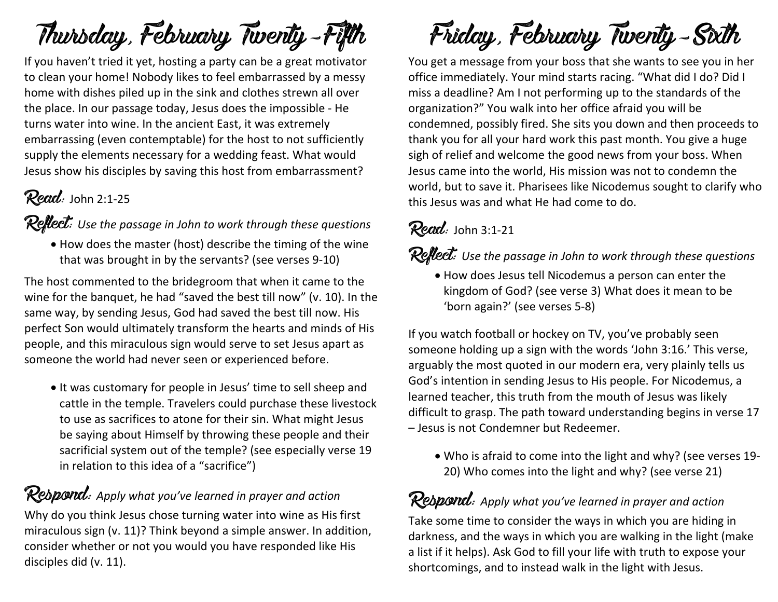# Thursday, February Twenty-Fifth

If you haven't tried it yet, hosting a party can be a great motivator to clean your home! Nobody likes to feel embarrassed by a messy home with dishes piled up in the sink and clothes strewn all over the place. In our passage today, Jesus does the impossible - He turns water into wine. In the ancient East, it was extremely embarrassing (even contemptable) for the host to not sufficiently supply the elements necessary for a wedding feast. What would Jesus show his disciples by saving this host from embarrassment?

### $Read:$  John 2:1-25

#### Reflect: Use the passage in John to work through these questions

• How does the master (host) describe the timing of the wine that was brought in by the servants? (see verses 9-10)

The host commented to the bridegroom that when it came to the wine for the banquet, he had "saved the best till now" (v. 10). In the same way, by sending Jesus, God had saved the best till now. His perfect Son would ultimately transform the hearts and minds of His people, and this miraculous sign would serve to set Jesus apart as someone the world had never seen or experienced before.

• It was customary for people in Jesus' time to sell sheep and cattle in the temple. Travelers could purchase these livestock to use as sacrifices to atone for their sin. What might Jesus be saying about Himself by throwing these people and their sacrificial system out of the temple? (see especially verse 19 in relation to this idea of a "sacrifice")

#### Respond: *Apply what you've learned in prayer and action*

Why do you think Jesus chose turning water into wine as His first miraculous sign (v. 11)? Think beyond a simple answer. In addition, consider whether or not you would you have responded like His disciples did (v. 11).

# Friday, February Twenty-Sixth

You get a message from your boss that she wants to see you in her office immediately. Your mind starts racing. "What did I do? Did I miss a deadline? Am I not performing up to the standards of the organization?" You walk into her office afraid you will be condemned, possibly fired. She sits you down and then proceeds to thank you for all your hard work this past month. You give a huge sigh of relief and welcome the good news from your boss. When Jesus came into the world, His mission was not to condemn the world, but to save it. Pharisees like Nicodemus sought to clarify who this Jesus was and what He had come to do.

## $Read:$  John 3:1-21

#### Reflect: Use the passage in John to work through these questions

• How does Jesus tell Nicodemus a person can enter the kingdom of God? (see verse 3) What does it mean to be 'born again?' (see verses 5-8)

If you watch football or hockey on TV, you've probably seen someone holding up a sign with the words 'John 3:16.' This verse, arguably the most quoted in our modern era, very plainly tells us God's intention in sending Jesus to His people. For Nicodemus, a learned teacher, this truth from the mouth of Jesus was likely difficult to grasp. The path toward understanding begins in verse 17 – Jesus is not Condemner but Redeemer.

• Who is afraid to come into the light and why? (see verses 19- 20) Who comes into the light and why? (see verse 21)

### Respond: Apply what you've learned in prayer and action

Take some time to consider the ways in which you are hiding in darkness, and the ways in which you are walking in the light (make a list if it helps). Ask God to fill your life with truth to expose your shortcomings, and to instead walk in the light with Jesus.